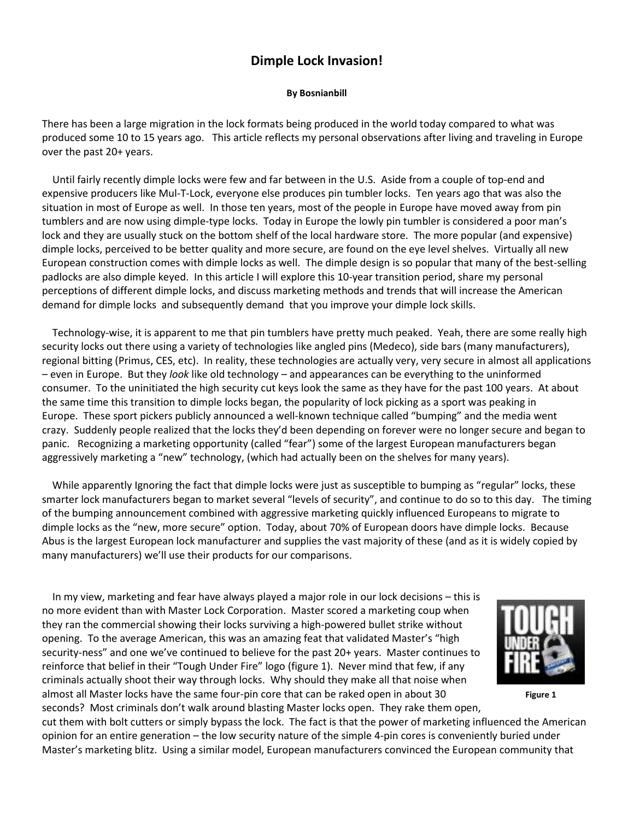## **Dimple Lock Invasion!**

## **By Bosnianbill**

There has been a large migration in the lock formats being produced in the world today compared to what was produced some 10 to 15 years ago. This article reflects my personal observations after living and traveling in Europe over the past 20+ years.

 Until fairly recently dimple locks were few and far between in the U.S. Aside from a couple of top-end and expensive producers like Mul-T-Lock, everyone else produces pin tumbler locks. Ten years ago that was also the situation in most of Europe as well. In those ten years, most of the people in Europe have moved away from pin tumblers and are now using dimple-type locks. Today in Europe the lowly pin tumbler is considered a poor man's lock and they are usually stuck on the bottom shelf of the local hardware store. The more popular (and expensive) dimple locks, perceived to be better quality and more secure, are found on the eye level shelves. Virtually all new European construction comes with dimple locks as well. The dimple design is so popular that many of the best-selling padlocks are also dimple keyed. In this article I will explore this 10-year transition period, share my personal perceptions of different dimple locks, and discuss marketing methods and trends that will increase the American demand for dimple locks and subsequently demand that you improve your dimple lock skills.

 Technology-wise, it is apparent to me that pin tumblers have pretty much peaked. Yeah, there are some really high security locks out there using a variety of technologies like angled pins (Medeco), side bars (many manufacturers), regional bitting (Primus, CES, etc). In reality, these technologies are actually very, very secure in almost all applications – even in Europe. But they *look* like old technology – and appearances can be everything to the uninformed consumer. To the uninitiated the high security cut keys look the same as they have for the past 100 years. At about the same time this transition to dimple locks began, the popularity of lock picking as a sport was peaking in Europe. These sport pickers publicly announced a well-known technique called "bumping" and the media went crazy. Suddenly people realized that the locks they'd been depending on forever were no longer secure and began to panic. Recognizing a marketing opportunity (called "fear") some of the largest European manufacturers began aggressively marketing a "new" technology, (which had actually been on the shelves for many years).

While apparently Ignoring the fact that dimple locks were just as susceptible to bumping as "regular" locks, these smarter lock manufacturers began to market several "levels of security", and continue to do so to this day. The timing of the bumping announcement combined with aggressive marketing quickly influenced Europeans to migrate to dimple locks as the "new, more secure" option. Today, about 70% of European doors have dimple locks. Because Abus is the largest European lock manufacturer and supplies the vast majority of these (and as it is widely copied by many manufacturers) we'll use their products for our comparisons.

 In my view, marketing and fear have always played a major role in our lock decisions – this is no more evident than with Master Lock Corporation. Master scored a marketing coup when they ran the commercial showing their locks surviving a high-powered bullet strike without opening. To the average American, this was an amazing feat that validated Master's "high security-ness" and one we've continued to believe for the past 20+ years. Master continues to reinforce that belief in their "Tough Under Fire" logo (figure 1). Never mind that few, if any criminals actually shoot their way through locks. Why should they make all that noise when almost all Master locks have the same four-pin core that can be raked open in about 30 seconds? Most criminals don't walk around blasting Master locks open. They rake them open,



**Figure 1**

cut them with bolt cutters or simply bypass the lock. The fact is that the power of marketing influenced the American opinion for an entire generation – the low security nature of the simple 4-pin cores is conveniently buried under Master's marketing blitz. Using a similar model, European manufacturers convinced the European community that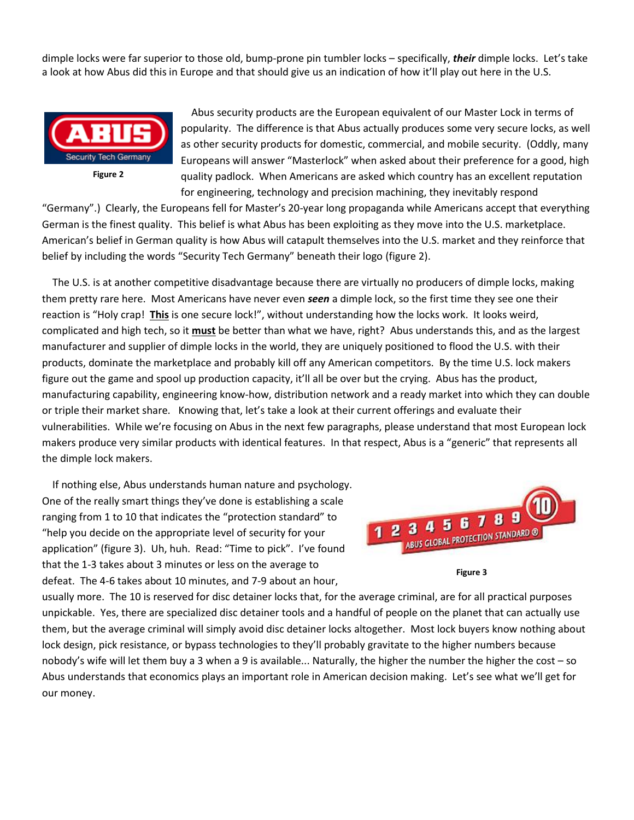dimple locks were far superior to those old, bump-prone pin tumbler locks – specifically, *their* dimple locks. Let's take a look at how Abus did this in Europe and that should give us an indication of how it'll play out here in the U.S.



 Abus security products are the European equivalent of our Master Lock in terms of popularity. The difference is that Abus actually produces some very secure locks, as well as other security products for domestic, commercial, and mobile security. (Oddly, many Europeans will answer "Masterlock" when asked about their preference for a good, high quality padlock. When Americans are asked which country has an excellent reputation for engineering, technology and precision machining, they inevitably respond

"Germany".) Clearly, the Europeans fell for Master's 20-year long propaganda while Americans accept that everything German is the finest quality. This belief is what Abus has been exploiting as they move into the U.S. marketplace. American's belief in German quality is how Abus will catapult themselves into the U.S. market and they reinforce that belief by including the words "Security Tech Germany" beneath their logo (figure 2).

 The U.S. is at another competitive disadvantage because there are virtually no producers of dimple locks, making them pretty rare here. Most Americans have never even *seen* a dimple lock, so the first time they see one their reaction is "Holy crap! **This** is one secure lock!", without understanding how the locks work. It looks weird, complicated and high tech, so it **must** be better than what we have, right? Abus understands this, and as the largest manufacturer and supplier of dimple locks in the world, they are uniquely positioned to flood the U.S. with their products, dominate the marketplace and probably kill off any American competitors. By the time U.S. lock makers figure out the game and spool up production capacity, it'll all be over but the crying. Abus has the product, manufacturing capability, engineering know-how, distribution network and a ready market into which they can double or triple their market share. Knowing that, let's take a look at their current offerings and evaluate their vulnerabilities. While we're focusing on Abus in the next few paragraphs, please understand that most European lock makers produce very similar products with identical features. In that respect, Abus is a "generic" that represents all the dimple lock makers.

 If nothing else, Abus understands human nature and psychology. One of the really smart things they've done is establishing a scale ranging from 1 to 10 that indicates the "protection standard" to "help you decide on the appropriate level of security for your application" (figure 3). Uh, huh. Read: "Time to pick". I've found that the 1-3 takes about 3 minutes or less on the average to defeat. The 4-6 takes about 10 minutes, and 7-9 about an hour,



**Figure 3**

usually more. The 10 is reserved for disc detainer locks that, for the average criminal, are for all practical purposes unpickable. Yes, there are specialized disc detainer tools and a handful of people on the planet that can actually use them, but the average criminal will simply avoid disc detainer locks altogether. Most lock buyers know nothing about lock design, pick resistance, or bypass technologies to they'll probably gravitate to the higher numbers because nobody's wife will let them buy a 3 when a 9 is available... Naturally, the higher the number the higher the cost – so Abus understands that economics plays an important role in American decision making. Let's see what we'll get for our money.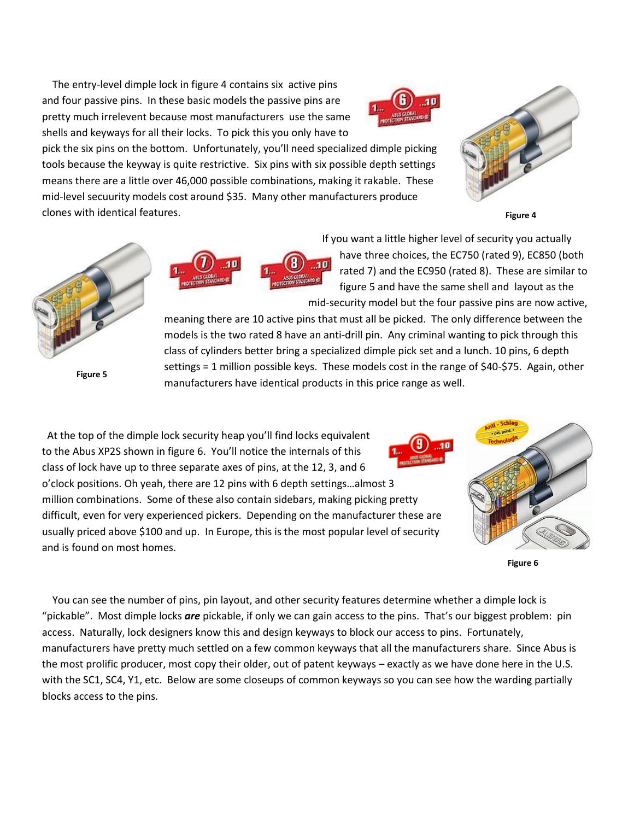The entry-level dimple lock in figure 4 contains six active pins and four passive pins. In these basic models the passive pins are pretty much irrelevent because most manufacturers use the same shells and keyways for all their locks. To pick this you only have to



pick the six pins on the bottom. Unfortunately, you'll need specialized dimple picking tools because the keyway is quite restrictive. Six pins with six possible depth settings means there are a little over 46,000 possible combinations, making it rakable. These mid-level secuurity models cost around \$35. Many other manufacturers produce clones with identical features.



**Figure 4**



**Figure 5**



 If you want a little higher level of security you actually have three choices, the EC750 (rated 9), EC850 (both rated 7) and the EC950 (rated 8). These are similar to figure 5 and have the same shell and layout as the mid-security model but the four passive pins are now active,

meaning there are 10 active pins that must all be picked. The only difference between the models is the two rated 8 have an anti-drill pin. Any criminal wanting to pick through this class of cylinders better bring a specialized dimple pick set and a lunch. 10 pins, 6 depth settings = 1 million possible keys. These models cost in the range of \$40-\$75. Again, other manufacturers have identical products in this price range as well.

 At the top of the dimple lock security heap you'll find locks equivalent to the Abus XP2S shown in figure 6. You'll notice the internals of this class of lock have up to three separate axes of pins, at the 12, 3, and 6 o'clock positions. Oh yeah, there are 12 pins with 6 depth settings…almost 3 million combinations. Some of these also contain sidebars, making picking pretty difficult, even for very experienced pickers. Depending on the manufacturer these are usually priced above \$100 and up. In Europe, this is the most popular level of security and is found on most homes.



**Figure 6**

 You can see the number of pins, pin layout, and other security features determine whether a dimple lock is "pickable". Most dimple locks *are* pickable, if only we can gain access to the pins. That's our biggest problem: pin access. Naturally, lock designers know this and design keyways to block our access to pins. Fortunately, manufacturers have pretty much settled on a few common keyways that all the manufacturers share. Since Abus is the most prolific producer, most copy their older, out of patent keyways – exactly as we have done here in the U.S. with the SC1, SC4, Y1, etc. Below are some closeups of common keyways so you can see how the warding partially blocks access to the pins.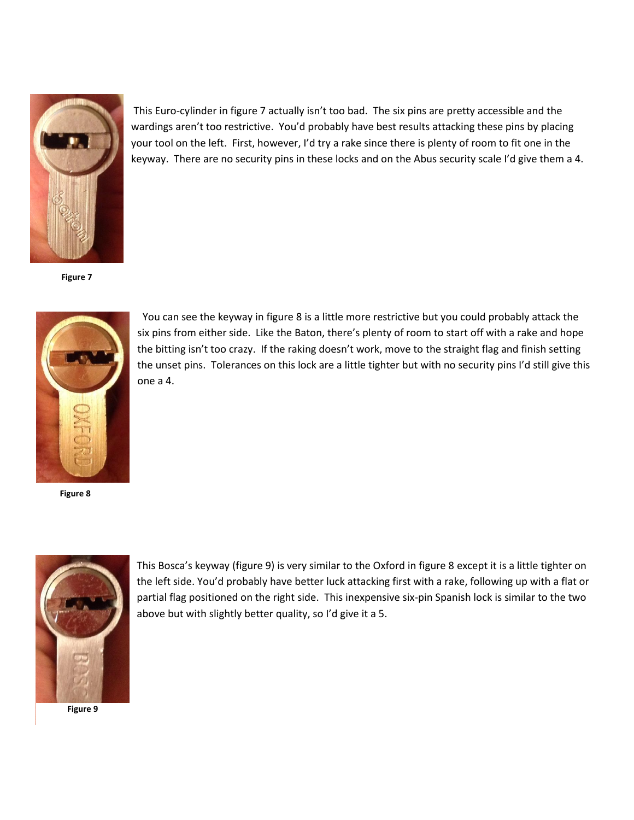

**Figure 7**



 You can see the keyway in figure 8 is a little more restrictive but you could probably attack the six pins from either side. Like the Baton, there's plenty of room to start off with a rake and hope the bitting isn't too crazy. If the raking doesn't work, move to the straight flag and finish setting the unset pins. Tolerances on this lock are a little tighter but with no security pins I'd still give this one a 4.

This Euro-cylinder in figure 7 actually isn't too bad. The six pins are pretty accessible and the wardings aren't too restrictive. You'd probably have best results attacking these pins by placing your tool on the left. First, however, I'd try a rake since there is plenty of room to fit one in the keyway. There are no security pins in these locks and on the Abus security scale I'd give them a 4.

**Figure 8**



**Figure 9**

This Bosca's keyway (figure 9) is very similar to the Oxford in figure 8 except it is a little tighter on the left side. You'd probably have better luck attacking first with a rake, following up with a flat or partial flag positioned on the right side. This inexpensive six-pin Spanish lock is similar to the two above but with slightly better quality, so I'd give it a 5.